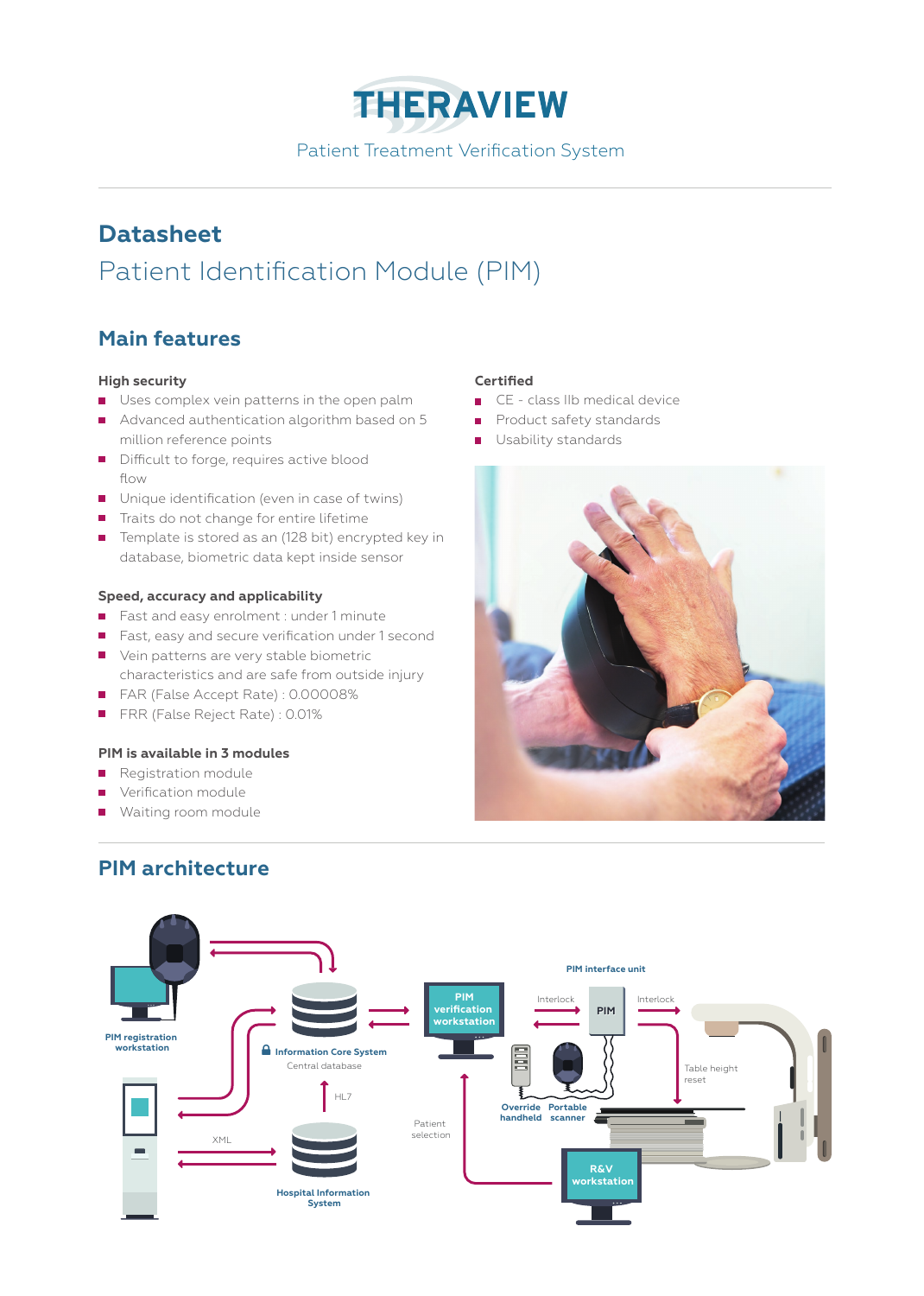**THERAVIEW** Patient Treatment Verification System

# **Datasheet** Patient Identification Module (PIM)

# **Main features**

### **High security**

- Uses complex vein patterns in the open palm
- Advanced authentication algorithm based on 5 million reference points
- Difficult to forge, requires active blood flow
- Unique identification (even in case of twins)
- Traits do not change for entire lifetime
- Template is stored as an (128 bit) encrypted key in database, biometric data kept inside sensor

### **Speed, accuracy and applicability**

- Fast and easy enrolment : under 1 minute
- Fast, easy and secure verification under 1 second
- Vein patterns are very stable biometric characteristics and are safe from outside injury
- FAR (False Accept Rate) : 0.00008%
- FRR (False Reject Rate) : 0.01%

## **PIM is available in 3 modules**

- Registration module
- **Verification module**
- **Waiting room module**

# **PIM architecture**

### **Certified**

- CE class IIb medical device  $\overline{\phantom{a}}$
- Product safety standards  $\blacksquare$
- Usability standards